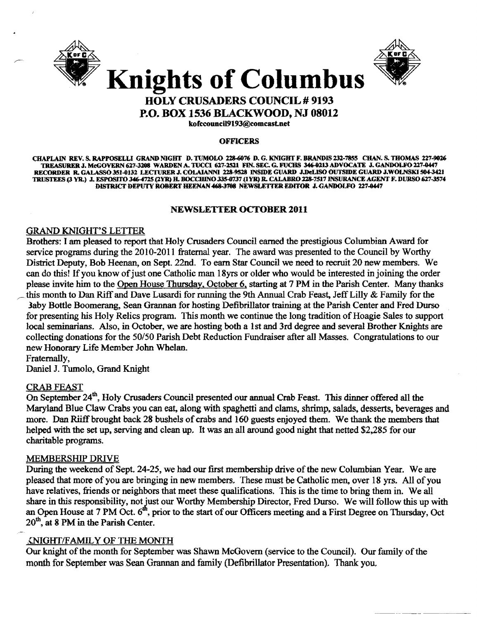



# **Knights of Columbus HOLY CRUSADERS COUNCIL # 9193**

**P.O. BOX 1536 BLACKWOOD, NJ 08012** 

kofccouncil9193@comcast.net

#### **OFFICERS**

CHAPLAIN REV. S. RAPPOSELLI GRAND NIGHT D. TUMOLO 228-6076 D. G. KNIGHT F. BRANDIS 232-7855 CHAN. S. THOMAS 227-9026 TREASURER J. McGOVERN 627-3208 WARDEN A. TUCCI 627-2521 FIN. SEC. G. FUCHS 346-0213 ADVOCATE J. GANDOLFO 227-0447 RECORDER R. GALASSO 351-0132 LECTURER J. COLAJANNI 228-9528 INSIDE GUARD J.DeLISO OUTSIDE GUARD J.WOLNSKI 504-3421 TRUSTEES (3 YR.) J. ESPOSITO 346-4725 (2YR) H. BOCCHINO 335-0737 (1YR) R. CALABRO 228-7517 INSURANCE AGENT F. DURSO 627-3574 DISTRICT DEPUTY ROBERT HEENAN 468-3708 NEWSLETTER EDITOR J. GANDOLFO 227-0447

# **NEWSLETTER OCTOBER 2011**

# **GRAND KNIGHT'S LETTER**

Brothers: I am pleased to report that Holy Crusaders Council earned the prestigious Columbian Award for service programs during the 2010-2011 fraternal year. The award was presented to the Council by Worthy District Deputy, Bob Heenan, on Sept. 22nd. To earn Star Council we need to recruit 20 new members. We can do this! If you know of just one Catholic man 18yrs or older who would be interested in joining the order please invite him to the Open House Thursday, October 6, starting at 7 PM in the Parish Center. Many thanks this month to Dan Riff and Dave Lusardi for running the 9th Annual Crab Feast, Jeff Lilly & Family for the Jaby Bottle Boomerang, Sean Grannan for hosting Defibrillator training at the Parish Center and Fred Durso for presenting his Holy Relics program. This month we continue the long tradition of Hoagie Sales to support local seminarians. Also, in October, we are hosting both a 1st and 3rd degree and several Brother Knights are collecting donations for the 50/50 Parish Debt Reduction Fundraiser after all Masses. Congratulations to our new Honorary Life Member John Whelan.

Fraternally,

Daniel J. Tumolo, Grand Knight

# **CRAB FEAST**

On September 24<sup>th</sup>, Holy Crusaders Council presented our annual Crab Feast. This dinner offered all the Maryland Blue Claw Crabs you can eat, along with spaghetti and clams, shrimp, salads, desserts, beverages and more. Dan Riiff brought back 28 bushels of crabs and 160 guests enjoyed them. We thank the members that helped with the set up, serving and clean up. It was an all around good night that netted \$2,285 for our charitable programs.

# MEMBERSHIP DRIVE

During the weekend of Sept. 24-25, we had our first membership drive of the new Columbian Year. We are pleased that more of you are bringing in new members. These must be Catholic men, over 18 yrs. All of you have relatives, friends or neighbors that meet these qualifications. This is the time to bring them in. We all share in this responsibility, not just our Worthy Membership Director, Fred Durso. We will follow this up with an Open House at 7 PM Oct. 6<sup>th</sup>, prior to the start of our Officers meeting and a First Degree on Thursday, Oct 20<sup>th</sup>, at 8 PM in the Parish Center.

# **INIGHT/FAMILY OF THE MONTH**

Our knight of the month for September was Shawn McGovern (service to the Council). Our family of the month for September was Sean Grannan and family (Defibrillator Presentation). Thank you.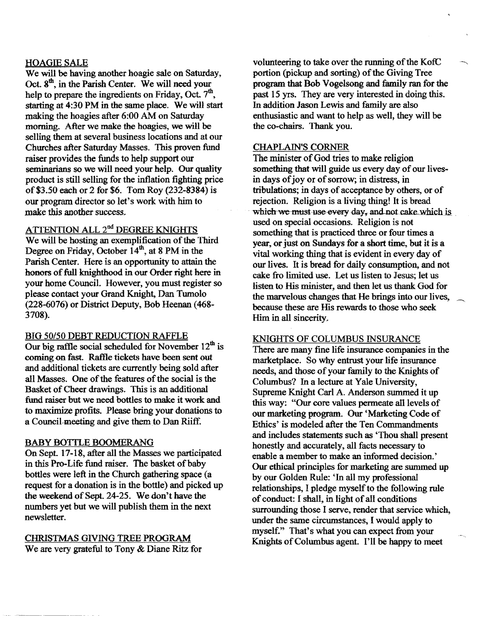#### HOAGIE SALE

We will be having another hoagie sale on Saturday, Oct.  $8<sup>th</sup>$ , in the Parish Center. We will need your help to prepare the ingredients on Friday, Oct.  $7<sup>th</sup>$ , starting at 4:30 PM in the same place. We will start making the hoagies after 6:00 AM on Saturday morning. After we make the hoagies, we will be selling them at several business locations and at our Churches after Saturday Masses. This proven fund raiser provides the funds to help support our seminarians so we will need your help. Our quality product is still selling for the inflation fighting price of\$3.50 each or 2 for \$6. Tom Roy (232-8384) is our program director so let's work with him to make this another success.

# ATTENTION ALL 2<sup>nd</sup> DEGREE KNIGHTS

We will be hosting an exemplification of the Third Degree on Friday, October  $14<sup>th</sup>$ , at 8 PM in the Parish Center. Here is an opportunity to attain the honors of full knighthood in our Order right here in your home Council. However, you must register so please contact your Grand Knight, Dan Tumolo (228-6076) or District Deputy, Bob Heenan (468 3708).

# BIG 50/50 DEBT REDUCTION RAFFLE

Our big raffle social scheduled for November  $12<sup>th</sup>$  is coming on fast. Raffle tickets have been sent out and additional tickets are currently being sold after all Masses. One of the features of the social is the Basket of Cheer drawings. This is an additional fund raiser but we need bottles to make it work and to maximize profits. Please bring your donations to a Council meeting and give them to Dan Riiff.

#### BABY BOTTLE BOOMERANG

On Sept. 17-18, after all the Masses we participated in this Pro-Life fund raiser. The basket of baby bottles were left in the Church gathering space (a request for a donation is in the bottle) and picked up the weekend of Sept. 24-25. We don't have the numbers yet but we will publish them in the next newsletter.

# CHRISTMAS GIVING TREE PROGRAM We are very grateful to Tony & Diane Ritz for

volunteering to take over the running of the KofC portion (pickup and sorting) of the Giving Tree program that Bob Vogelsong and family ran for the past 15 yrs. They are very interested in doing this. In addition Jason Lewis and family are also enthusiastic and want to help as well, they will be the co-chairs. Thank you.

#### CHAPLAIN\*S CORNER

The minister of God tries to make religion something that will guide us every day of our livesin days of joy or of sorrow; in distress, in tribulations; in days of acceptance by others, or of rejection. Religion is a living thing! It is bread which-we-must use every day, and not cake which is. used on special occasions. Religion is not something that is practiced three or four times a year, or just on Sundays for a short time, but it is a vital working thing that is evident in every day of our lives. It is bread for daily consumption, and not cake fro limited use. Let us listen to 1esus; let us listen to His minister, and then let us thank God for the marvelous changes that He brings into our lives, because these are His rewards to those who seek Him in all sincerity.

#### KNIGHTS OF COLUMBUS INSURANCE

There are many fine life insurance companies in the marketplace. So why entrust your life insurance needs, and those of your family to the Knights of Columbus? In a lecture at Yale University, Supreme Knight Carl A. Anderson summed it up this way; "Our core values permeate all levels of our marketing program. Our 'Marketing Code of Ethics' is modeled after the Ten Commandments and includes statements such as 'Thou shall present honestly and accurately, all facts necessary to enable a member to make an informed decision.' Our ethical principles for marketing are summed up by our Golden Rule: 'In all my professional relationships, I pledge myself to the following rule of conduct: I shall, in light of all conditions surrounding those I serve, render that service which, under the same circumstances, I would apply to myself." That's what you can expect from your Knights of Columbus agent. I'll be happy to meet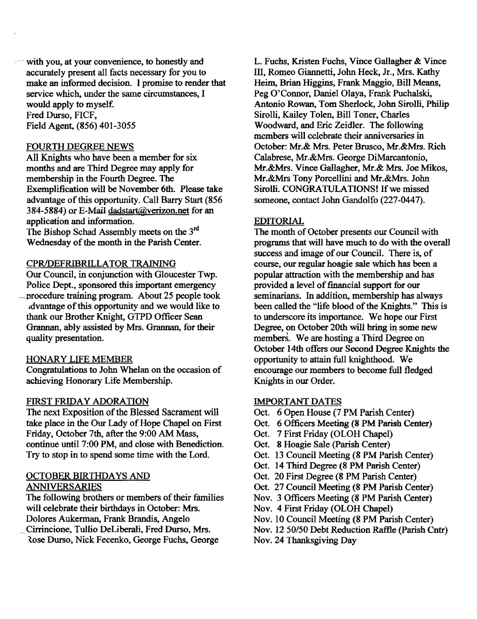$\sim$  with you, at your convenience, to honestly and accurately present all facts necessary for you to make an informed decision. I promise to render that service which, under the same circumstances, I would apply to myself. Fred Durso, FICF, Field Agent. (856) 401-3055

#### FOURTH DEGREE NEWS

All Knights who have been a member for six months and are Third Degree may apply for membership in the Fourth Degree. The Exemplification will be November 6th. Please take advantage of this opportunity. Call Barry Start (856 384-5884) or E-Mail dadstart@verizon.net for an application and information.

The Bishop Schad Assembly meets on the 3rd Wednesday of the month in the Parish Center.

#### CPRIDEFRIBRILLATOR TRAINING

Our Council, in conjunction with Gloucester Twp. Police Dept., sponsored this important emergency \_procedure training program. About 25 people took ldvantage ofthis opportunity and we would like to thank our Brother Knight, GTPD Officer Sean Grannan, ably assisted by Mrs. Grannan, for their quality presentation.

#### HONARY LIFE MEMBER

Congratulations to John Whelan on the occasion of achieving Honorary Life Membership.

#### FIRST FRIDAY ADORATION

The next Exposition of the Blessed Sacrament will take place in the Our Lady of Hope Chapel on First Friday, October 7th, after the 9:00 AM Mass, continue until 7:00 PM, and close with Benediction. Try to stop in to spend some time with the Lord.

# OCTOBER BIRTHDAYS AND ANNIVERSARIES

The following brothers or members of their families will celebrate their birthdays in October: Mrs. Dolores Aukerman, Frank Brandis, Angelo Cirrincione, Tullio DeLiberali, Fred Durso, Mrs. lose Durso, Nick Fecenko, George Fuchs, George

L. Fuchs, Kristen Fuchs, Vince Gallagher & Vince III, Romeo Giannetti, John Heck, Jr., Mrs. Kathy Heim, Brian Higgins, Frank Maggio, Bill Means, Peg O'Connor, Daniel Olaya, Frank Puchalski, Antonio Rowan, Tom Sherlock, John Sirolli, Philip Sirolli, Kailey Tolen, Bill Toner, Charles Woodward, and Eric Zeidler. The following members will celebrate their anniversaries in October: Mr.& Mrs. Peter Brusco, Mr.&Mrs. Rich Calabrese, Mr.&Mrs. George DiMarcantonio, Mr.&Mrs. Vince Gallagher, Mr.& Mrs. Joe Mikos, Mr.&Mrs Tony Porcellini and Mr.&Mrs. John Sirolli. CONGRATULATIONS! If we missed someone, contact John Gandolfo (227-0447).

#### EDITORIAL

The month of October presents our Council with programs that will have much to do with the overall success and image of our Council. There is, of course, our regular hoagie sale which has been a popular attraction with the membership and has provided a level of financial support for our seminarians. In addition, membership has always been called the "life blood of the Knights." This is to underscore its importance. We hope our First Degree, on October 20th will bring in some new members. We are hosting a Third Degree on October 14th offers our Second Degree Knights the opportunity to attain full knighthood. We encourage our members to become full fledged Knights in our Order.

#### IMPORTANT DATES

- Oct. 6 Open House (7 PM Parish Center)
- Oct. 6 Officers Meeting (8 PM Parish Center)
- Oct. 7 First Friday (OLOH Chapel)
- Oct. 8 Hoagie Sale (Parish Center)
- Oct. 13 Council Meeting (8 PM Parish Center)
- Oct. 14 Third Degree (8 PM Parish Center)
- Oct. 20 First Degree (8 PM Parish Center)
- Oct. 27 Council Meeting (8 PM Parish Center)
- Nov. 3 Officers Meeting (8 PM Parish Center)
- Nov. 4 First Friday (OLOH Chapel)
- Nov. 10 Council Meeting (8 PM Parish Center)
- Nov. 12 *50/50* Debt Reduction Raflle (Parish Cntr)
- Nov. 24 Thanksgiving Day